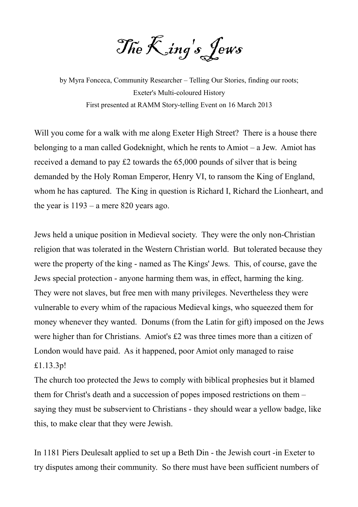The King's Jews

by Myra Fonceca, Community Researcher – Telling Our Stories, finding our roots; Exeter's Multi-coloured History First presented at RAMM Story-telling Event on 16 March 2013

Will you come for a walk with me along Exeter High Street? There is a house there belonging to a man called Godeknight, which he rents to Amiot – a Jew. Amiot has received a demand to pay £2 towards the 65,000 pounds of silver that is being demanded by the Holy Roman Emperor, Henry VI, to ransom the King of England, whom he has captured. The King in question is Richard I, Richard the Lionheart, and the year is 1193 – a mere 820 years ago.

Jews held a unique position in Medieval society. They were the only non-Christian religion that was tolerated in the Western Christian world. But tolerated because they were the property of the king - named as The Kings' Jews. This, of course, gave the Jews special protection - anyone harming them was, in effect, harming the king. They were not slaves, but free men with many privileges. Nevertheless they were vulnerable to every whim of the rapacious Medieval kings, who squeezed them for money whenever they wanted. Donums (from the Latin for gift) imposed on the Jews were higher than for Christians. Amiot's £2 was three times more than a citizen of London would have paid. As it happened, poor Amiot only managed to raise £1.13.3p!

The church too protected the Jews to comply with biblical prophesies but it blamed them for Christ's death and a succession of popes imposed restrictions on them – saying they must be subservient to Christians - they should wear a yellow badge, like this, to make clear that they were Jewish.

In 1181 Piers Deulesalt applied to set up a Beth Din - the Jewish court -in Exeter to try disputes among their community. So there must have been sufficient numbers of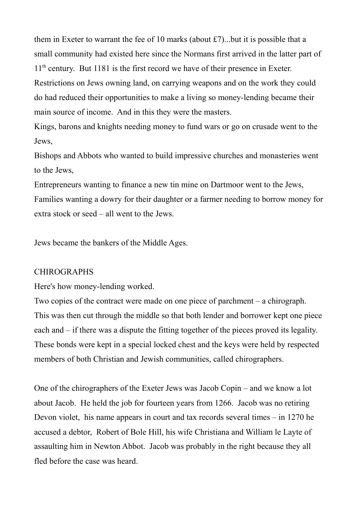them in Exeter to warrant the fee of 10 marks (about £7)...but it is possible that a small community had existed here since the Normans first arrived in the latter part of 11<sup>th</sup> century. But 1181 is the first record we have of their presence in Exeter. Restrictions on Jews owning land, on carrying weapons and on the work they could do had reduced their opportunities to make a living so money-lending became their main source of income. And in this they were the masters.

Kings, barons and knights needing money to fund wars or go on crusade went to the Jews,

Bishops and Abbots who wanted to build impressive churches and monasteries went to the Jews,

Entrepreneurs wanting to finance a new tin mine on Dartmoor went to the Jews, Families wanting a dowry for their daughter or a farmer needing to borrow money for extra stock or seed – all went to the Jews.

Jews became the bankers of the Middle Ages.

## **CHIROGRAPHS**

Here's how money-lending worked.

Two copies of the contract were made on one piece of parchment – a chirograph. This was then cut through the middle so that both lender and borrower kept one piece each and – if there was a dispute the fitting together of the pieces proved its legality. These bonds were kept in a special locked chest and the keys were held by respected members of both Christian and Jewish communities, called chirographers.

One of the chirographers of the Exeter Jews was Jacob Copin – and we know a lot about Jacob. He held the job for fourteen years from 1266. Jacob was no retiring Devon violet, his name appears in court and tax records several times – in 1270 he accused a debtor, Robert of Bole Hill, his wife Christiana and William le Layte of assaulting him in Newton Abbot. Jacob was probably in the right because they all fled before the case was heard.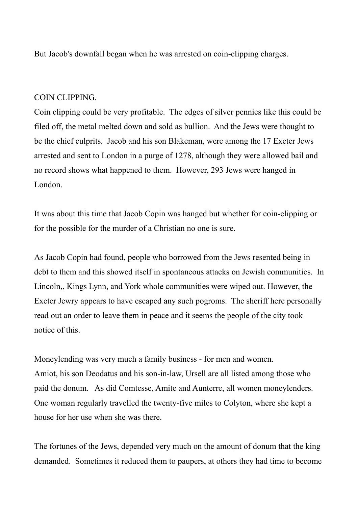But Jacob's downfall began when he was arrested on coin-clipping charges.

## COIN CLIPPING.

Coin clipping could be very profitable. The edges of silver pennies like this could be filed off, the metal melted down and sold as bullion. And the Jews were thought to be the chief culprits. Jacob and his son Blakeman, were among the 17 Exeter Jews arrested and sent to London in a purge of 1278, although they were allowed bail and no record shows what happened to them. However, 293 Jews were hanged in London.

It was about this time that Jacob Copin was hanged but whether for coin-clipping or for the possible for the murder of a Christian no one is sure.

As Jacob Copin had found, people who borrowed from the Jews resented being in debt to them and this showed itself in spontaneous attacks on Jewish communities. In Lincoln,, Kings Lynn, and York whole communities were wiped out. However, the Exeter Jewry appears to have escaped any such pogroms. The sheriff here personally read out an order to leave them in peace and it seems the people of the city took notice of this.

Moneylending was very much a family business - for men and women. Amiot, his son Deodatus and his son-in-law, Ursell are all listed among those who paid the donum. As did Comtesse, Amite and Aunterre, all women moneylenders. One woman regularly travelled the twenty-five miles to Colyton, where she kept a house for her use when she was there.

The fortunes of the Jews, depended very much on the amount of donum that the king demanded. Sometimes it reduced them to paupers, at others they had time to become